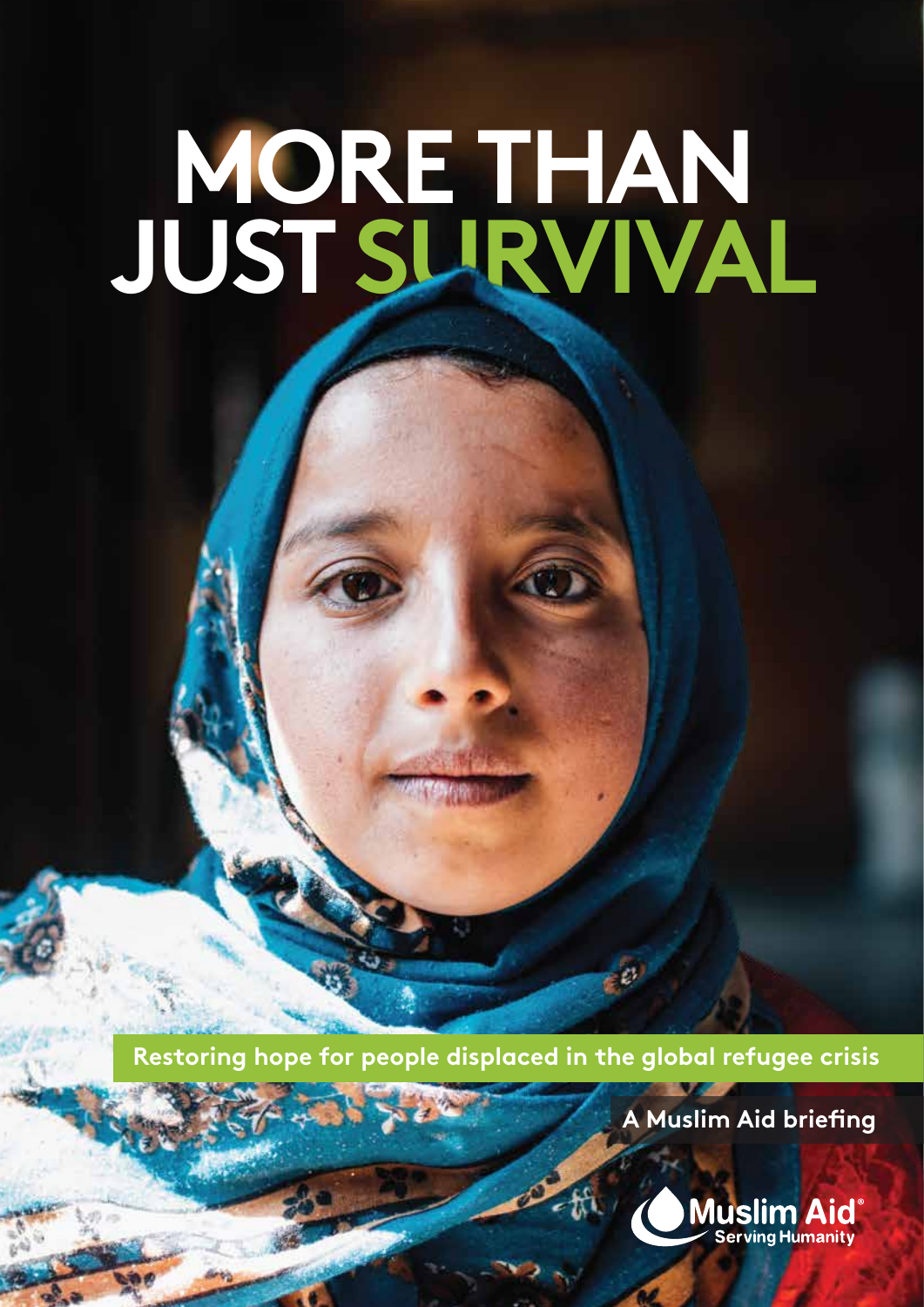# **MORE THAN JUST SURVIVAL**

**Restoring hope for people displaced in the global refugee crisis**

**A Muslim Aid briefing**

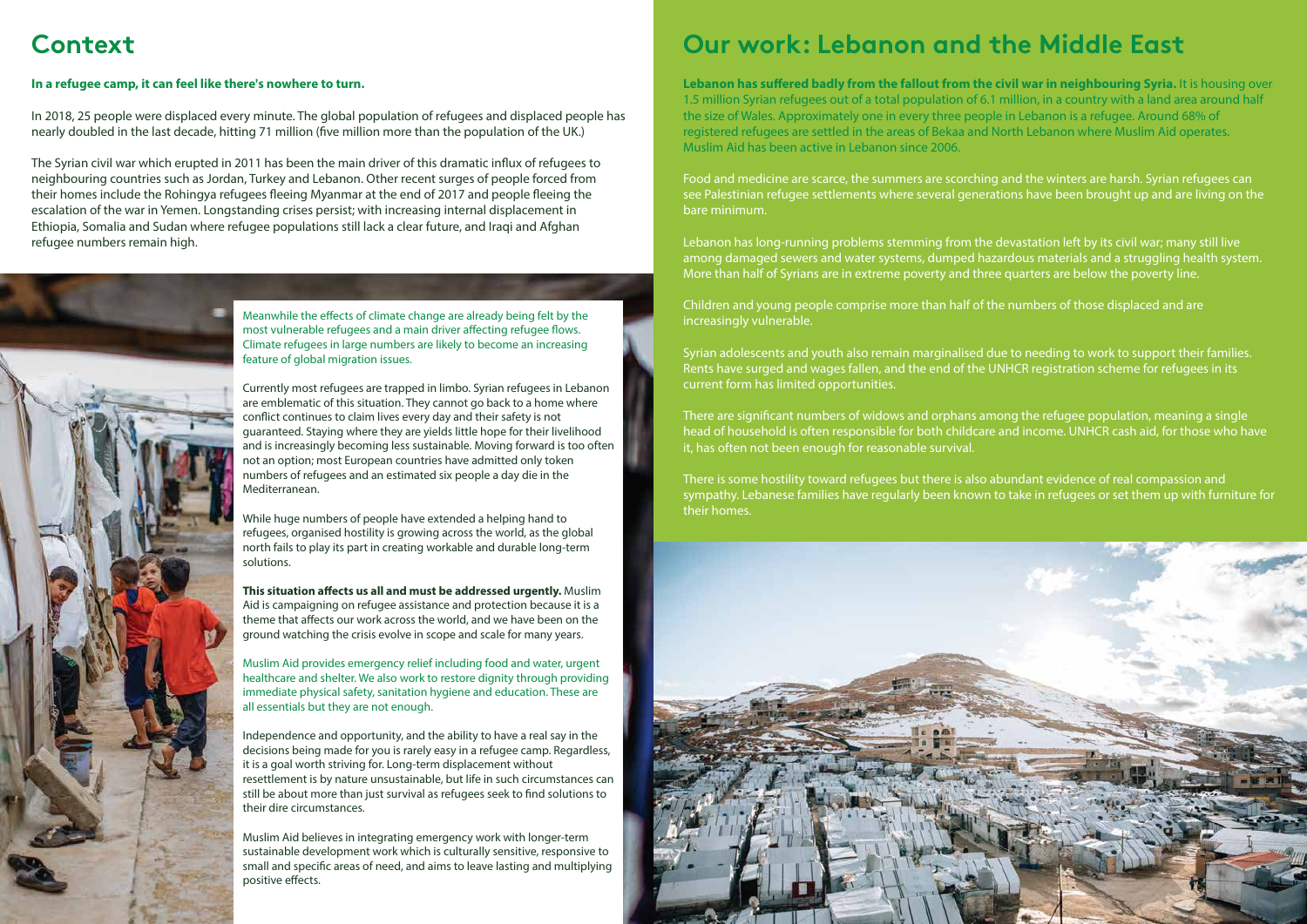#### **In a refugee camp, it can feel like there's nowhere to turn.**

In 2018, 25 people were displaced every minute. The global population of refugees and displaced people has nearly doubled in the last decade, hitting 71 million (five million more than the population of the UK.)

The Syrian civil war which erupted in 2011 has been the main driver of this dramatic influx of refugees to neighbouring countries such as Jordan, Turkey and Lebanon. Other recent surges of people forced from their homes include the Rohingya refugees fleeing Myanmar at the end of 2017 and people fleeing the escalation of the war in Yemen. Longstanding crises persist; with increasing internal displacement in Ethiopia, Somalia and Sudan where refugee populations still lack a clear future, and Iraqi and Afghan refugee numbers remain high.



Lebanon has suffered badly from the fallout from the civil war in neighbouring Syria. It is housing over 1.5 million Syrian refugees out of a total population of 6.1 million, in a country with a land area around half the size of Wales. Approximately one in every three people in Lebanon is a refugee. Around 68% of registered refugees are settled in the areas of Bekaa and North Lebanon where Muslim Aid operates. Muslim Aid has been active in Lebanon since 2006.

There are significant numbers of widows and orphans among the refugee population, meaning a single head of household is often responsible for both childcare and income. UNHCR cash aid, for those who have it, has often not been enough for reasonable survival.

Food and medicine are scarce, the summers are scorching and the winters are harsh. Syrian refugees can see Palestinian refugee settlements where several generations have been brought up and are living on the bare minimum.

Meanwhile the effects of climate change are already being felt by the most vulnerable refugees and a main driver affecting refugee flows. Climate refugees in large numbers are likely to become an increasing feature of global migration issues.

Lebanon has long-running problems stemming from the devastation left by its civil war; many still live among damaged sewers and water systems, dumped hazardous materials and a struggling health system. More than half of Syrians are in extreme poverty and three quarters are below the poverty line.

Children and young people comprise more than half of the numbers of those displaced and are increasingly vulnerable.

**This situation affects us all and must be addressed urgently.** Muslim Aid is campaigning on refugee assistance and protection because it is a theme that affects our work across the world, and we have been on the ground watching the crisis evolve in scope and scale for many years.

Syrian adolescents and youth also remain marginalised due to needing to work to support their families. Rents have surged and wages fallen, and the end of the UNHCR registration scheme for refugees in its current form has limited opportunities.

Muslim Aid believes in integrating emergency work with longer-term sustainable development work which is culturally sensitive, responsive to small and specific areas of need, and aims to leave lasting and multiplying positive effects.

There is some hostility toward refugees but there is also abundant evidence of real compassion and sympathy. Lebanese families have regularly been known to take in refugees or set them up with furniture for their homes.



Currently most refugees are trapped in limbo. Syrian refugees in Lebanon are emblematic of this situation. They cannot go back to a home where conflict continues to claim lives every day and their safety is not guaranteed. Staying where they are yields little hope for their livelihood and is increasingly becoming less sustainable. Moving forward is too often not an option; most European countries have admitted only token numbers of refugees and an estimated six people a day die in the Mediterranean.

While huge numbers of people have extended a helping hand to refugees, organised hostility is growing across the world, as the global north fails to play its part in creating workable and durable long-term solutions.

Muslim Aid provides emergency relief including food and water, urgent healthcare and shelter. We also work to restore dignity through providing immediate physical safety, sanitation hygiene and education. These are all essentials but they are not enough.

Independence and opportunity, and the ability to have a real say in the decisions being made for you is rarely easy in a refugee camp. Regardless, it is a goal worth striving for. Long-term displacement without resettlement is by nature unsustainable, but life in such circumstances can still be about more than just survival as refugees seek to find solutions to their dire circumstances.

# **Context Our work: Lebanon and the Middle East**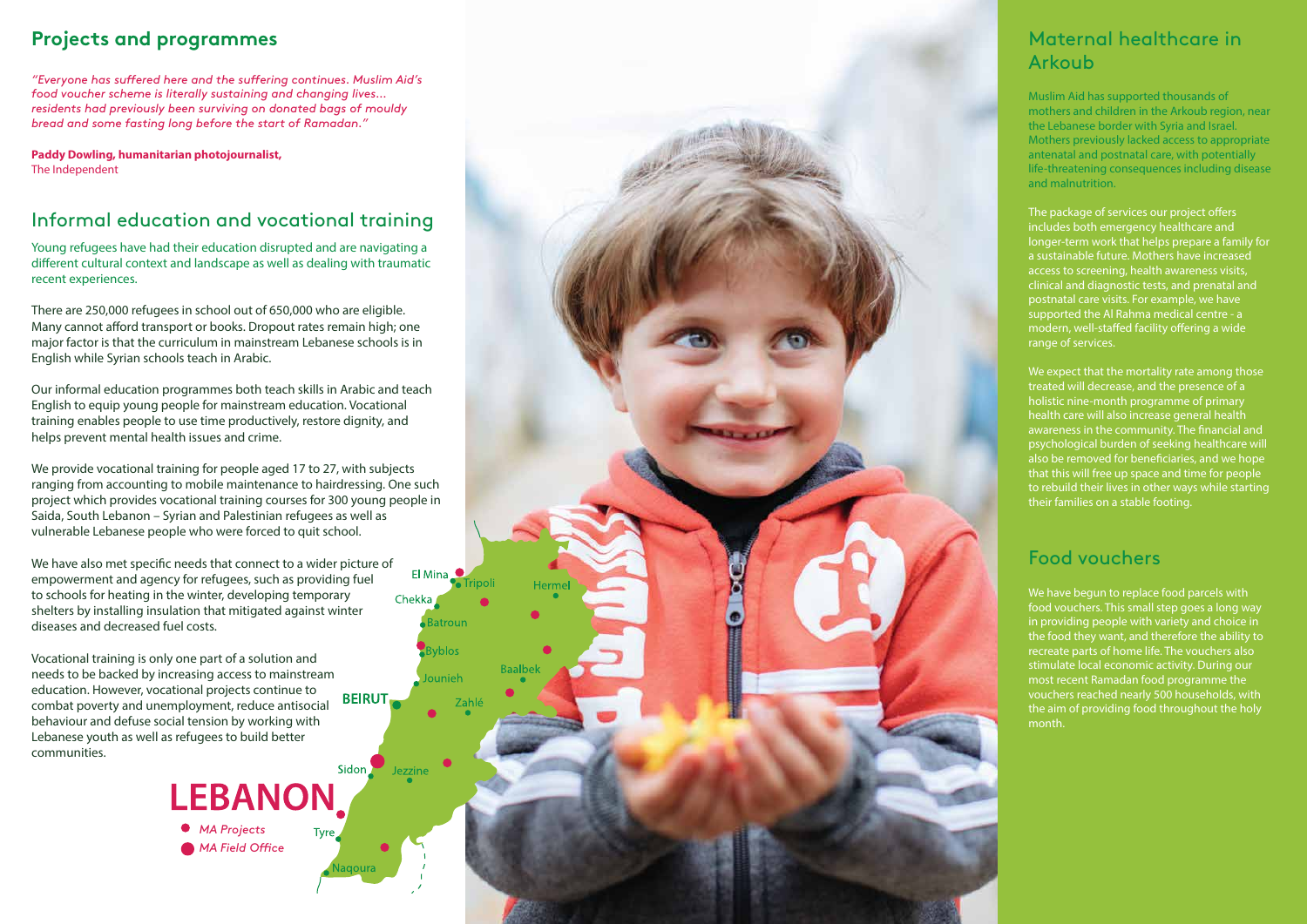Young refugees have had their education disrupted and are navigating a different cultural context and landscape as well as dealing with traumatic recent experiences.

There are 250,000 refugees in school out of 650,000 who are eligible. Many cannot afford transport or books. Dropout rates remain high; one major factor is that the curriculum in mainstream Lebanese schools is in English while Syrian schools teach in Arabic.

Our informal education programmes both teach skills in Arabic and teach English to equip young people for mainstream education. Vocational training enables people to use time productively, restore dignity, and helps prevent mental health issues and crime.

We have also met specific needs that connect to a wider picture of empowerment and agency for refugees, such as providing fuel to schools for heating in the winter, developing temporary Chekka shelters by installing insulation that mitigated against winter diseases and decreased fuel costs.

We provide vocational training for people aged 17 to 27, with subjects ranging from accounting to mobile maintenance to hairdressing. One such project which provides vocational training courses for 300 young people in Saida, South Lebanon – Syrian and Palestinian refugees as well as vulnerable Lebanese people who were forced to quit school.

El Mina

**Batroun** 

vblos

Jounieh

Jezzine

Tripol

The package of services our project offers includes both emergency healthcare and longer-term work that helps prepare a family for a sustainable future. Mothers have increased access to screening, health awareness visits, clinical and diagnostic tests, and prenatal and postnatal care visits. For example, we have supported the Al Rahma medical centre - a modern, well-staffed facility offering a wide range of services.

We expect that the mortality rate among those treated will decrease, and the presence of a holistic nine-month programme of primary health care will also increase general health awareness in the community. The financial and psychological burden of seeking healthcare will also be removed for beneficiaries, and we hope that this will free up space and time for people to rebuild their lives in other ways while starting their families on a stable footing.

Vocational training is only one part of a solution and needs to be backed by increasing access to mainstream education. However, vocational projects continue to **BEIRUT** combat poverty and unemployment, reduce antisocial behaviour and defuse social tension by working with Lebanese youth as well as refugees to build better communities.

Muslim Aid has supported thousands of mothers and children in the Arkoub region, near the Lebanese border with Syria and Israel. Mothers previously lacked access to appropriate antenatal and postnatal care, with potentially life-threatening consequences including disease and malnutrition.

#### Maternal healthcare in Arkoub

### **Projects and programmes**

**Paddy Dowling, humanitarian photojournalist,** The Independent

## Informal education and vocational training

We have begun to replace food parcels with food vouchers. This small step goes a long way in providing people with variety and choice in the food they want, and therefore the ability to recreate parts of home life. The vouchers also stimulate local economic activity. During our most recent Ramadan food programme the vouchers reached nearly 500 households, with the aim of providing food throughout the holy month.

#### Food vouchers

*"Everyone has suffered here and the suffering continues. Muslim Aid's food voucher scheme is literally sustaining and changing lives… residents had previously been surviving on donated bags of mouldy bread and some fasting long before the start of Ramadan."* 

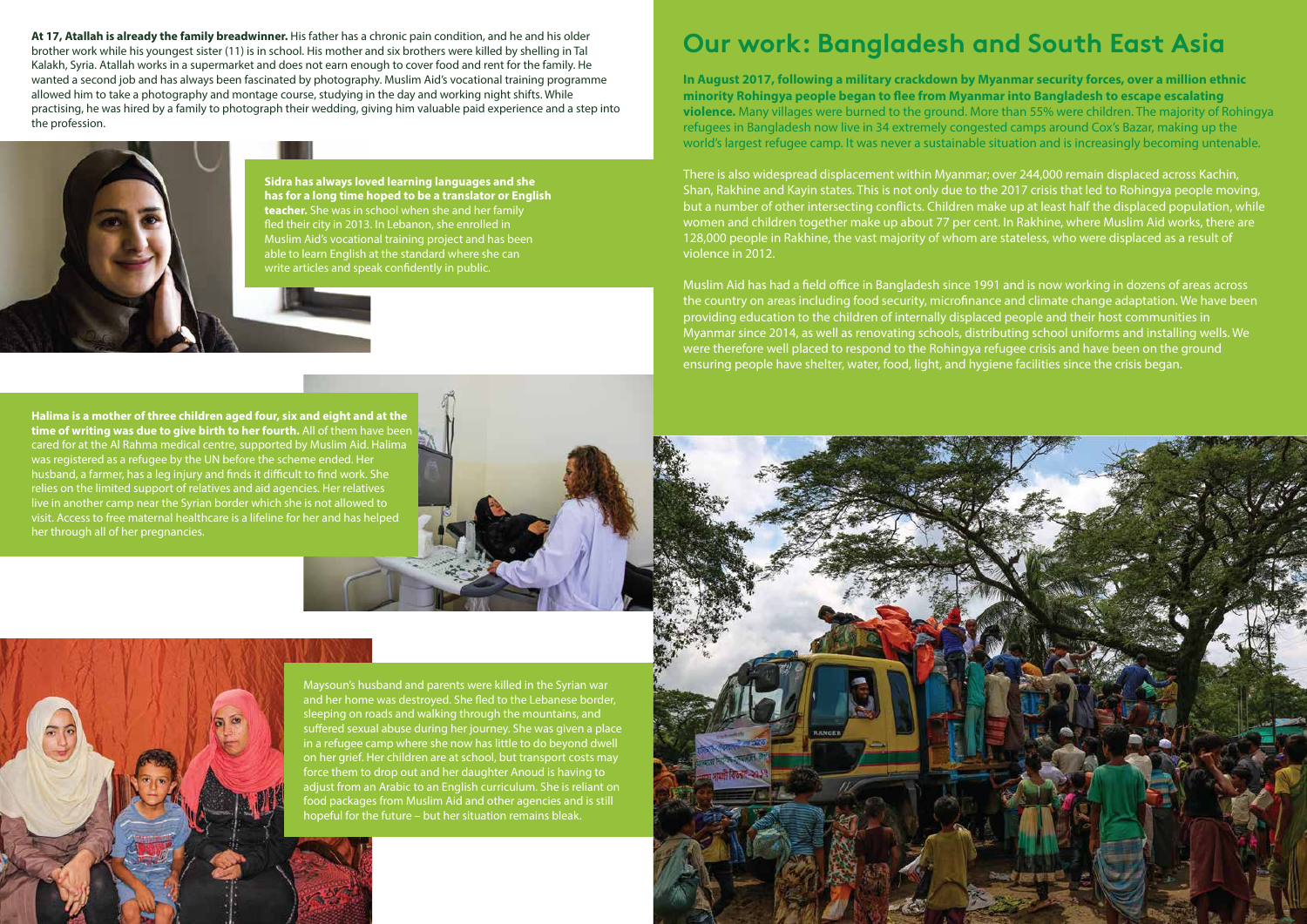# **Our work: Bangladesh and South East Asia**

**In August 2017, following a military crackdown by Myanmar security forces, over a million ethnic minority Rohingya people began to ee from Myanmar into Bangladesh to escape escalating violence.** Many villages were burned to the ground. More than 55% were children. The majority of Rohingya refugees in Bangladesh now live in 34 extremely congested camps around Cox's Bazar, making up the world's largest refugee camp. It was never a sustainable situation and is increasingly becoming untenable.

There is also widespread displacement within Myanmar; over 244,000 remain displaced across Kachin, Shan, Rakhine and Kayin states. This is not only due to the 2017 crisis that led to Rohingya people moving, but a number of other intersecting conflicts. Children make up at least half the displaced population, while women and children together make up about 77 per cent. In Rakhine, where Muslim Aid works, there are 128,000 people in Rakhine, the vast majority of whom are stateless, who were displaced as a result of violence in 2012.

Muslim Aid has had a field office in Bangladesh since 1991 and is now working in dozens of areas across the country on areas including food security, microfinance and climate change adaptation. We have been providing education to the children of internally displaced people and their host communities in Myanmar since 2014, as well as renovating schools, distributing school uniforms and installing wells. We were therefore well placed to respond to the Rohingya refugee crisis and have been on the ground ensuring people have shelter, water, food, light, and hygiene facilities since the crisis began.



**Sidra has always loved learning languages and she has for a long time hoped to be a translator or English teacher.** She was in school when she and her family fled their city in 2013. In Lebanon, she enrolled in Muslim Aid's vocational training project and has been able to learn English at the standard where she can write articles and speak confidently in public.

**At 17, Atallah is already the family breadwinner.** His father has a chronic pain condition, and he and his older brother work while his youngest sister (11) is in school. His mother and six brothers were killed by shelling in Tal Kalakh, Syria. Atallah works in a supermarket and does not earn enough to cover food and rent for the family. He wanted a second job and has always been fascinated by photography. Muslim Aid's vocational training programme allowed him to take a photography and montage course, studying in the day and working night shifts. While practising, he was hired by a family to photograph their wedding, giving him valuable paid experience and a step into the profession.



**Halima is a mother of three children aged four, six and eight and at the time of writing was due to give birth to her fourth.** All of them have been cared for at the Al Rahma medical centre, supported by Muslim Aid. Halima was registered as a refugee by the UN before the scheme ended. Her husband, a farmer, has a leg injury and finds it difficult to find work. She relies on the limited support of relatives and aid agencies. Her relatives live in another camp near the Syrian border which she is not allowed to visit. Access to free maternal healthcare is a lifeline for her and has helped her through all of her pregnancies.



Maysoun's husband and parents were killed in the Syrian war and her home was destroyed. She fled to the Lebanese border, sleeping on roads and walking through the mountains, and suffered sexual abuse during her journey. She was given a place in a refugee camp where she now has little to do beyond dwell on her grief. Her children are at school, but transport costs may force them to drop out and her daughter Anoud is having to adjust from an Arabic to an English curriculum. She is reliant on food packages from Muslim Aid and other agencies and is still hopeful for the future – but her situation remains bleak.

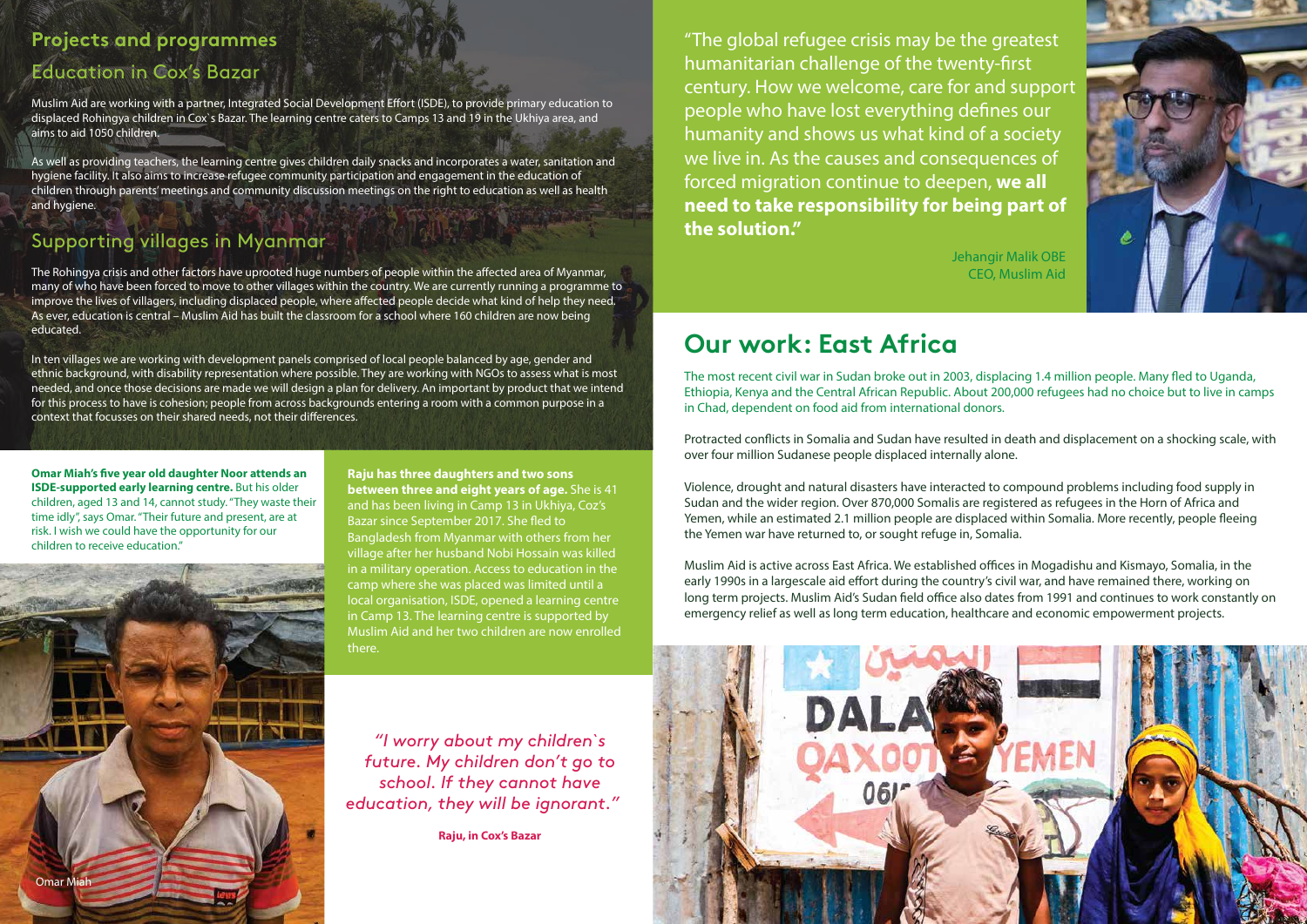Muslim Aid are working with a partner, Integrated Social Development Effort (ISDE), to provide primary education to displaced Rohingya children in Cox`s Bazar. The learning centre caters to Camps 13 and 19 in the Ukhiya area, and aims to aid 1050 children.

As well as providing teachers, the learning centre gives children daily snacks and incorporates a water, sanitation and hygiene facility. It also aims to increase refugee community participation and engagement in the education of children through parents' meetings and community discussion meetings on the right to education as well as health and hygiene.

The Rohingya crisis and other factors have uprooted huge numbers of people within the affected area of Myanmar, many of who have been forced to move to other villages within the country. We are currently running a programme to improve the lives of villagers, including displaced people, where affected people decide what kind of help they need. As ever, education is central – Muslim Aid has built the classroom for a school where 160 children are now being educated.

In ten villages we are working with development panels comprised of local people balanced by age, gender and ethnic background, with disability representation where possible. They are working with NGOs to assess what is most needed, and once those decisions are made we will design a plan for delivery. An important by product that we intend for this process to have is cohesion; people from across backgrounds entering a room with a common purpose in a context that focusses on their shared needs, not their differences.

### Supporting villages in Myanmar

# Education in Cox's Bazar **Projects and programmes**

**Omar Miah's five year old daughter Noor attends an ISDE-supported early learning centre.** But his older children, aged 13 and 14, cannot study. "They waste their time idly", says Omar. "Their future and present, are at risk. I wish we could have the opportunity for our children to receive education."

The most recent civil war in Sudan broke out in 2003, displacing 1.4 million people. Many fled to Uganda, Ethiopia, Kenya and the Central African Republic. About 200,000 refugees had no choice but to live in camps in Chad, dependent on food aid from international donors.

Protracted conflicts in Somalia and Sudan have resulted in death and displacement on a shocking scale, with over four million Sudanese people displaced internally alone.

**Raju has three daughters and two sons between three and eight years of age.** She is 41 and has been living in Camp 13 in Ukhiya, Coz's Bazar since September 2017. She fled to Bangladesh from Myanmar with others from her village after her husband Nobi Hossain was killed in a military operation. Access to education in the camp where she was placed was limited until a local organisation, ISDE, opened a learning centre in Camp 13. The learning centre is supported by Muslim Aid and her two children are now enrolled there.

Muslim Aid is active across East Africa. We established offices in Mogadishu and Kismayo, Somalia, in the early 1990s in a largescale aid effort during the country's civil war, and have remained there, working on long term projects. Muslim Aid's Sudan field office also dates from 1991 and continues to work constantly on emergency relief as well as long term education, healthcare and economic empowerment projects.



*"I worry about my children`s future. My children don't go to school. If they cannot have education, they will be ignorant."*  Jehangir Malik OBE CEO, Muslim Aid



# **Our work: East Africa**

**Raju, in Cox's Bazar**



"The global refugee crisis may be the greatest humanitarian challenge of the twenty-first century. How we welcome, care for and support people who have lost everything defines our humanity and shows us what kind of a society we live in. As the causes and consequences of forced migration continue to deepen, **we all need to take responsibility for being part of the solution."** 

Violence, drought and natural disasters have interacted to compound problems including food supply in Sudan and the wider region. Over 870,000 Somalis are registered as refugees in the Horn of Africa and Yemen, while an estimated 2.1 million people are displaced within Somalia. More recently, people fleeing the Yemen war have returned to, or sought refuge in, Somalia.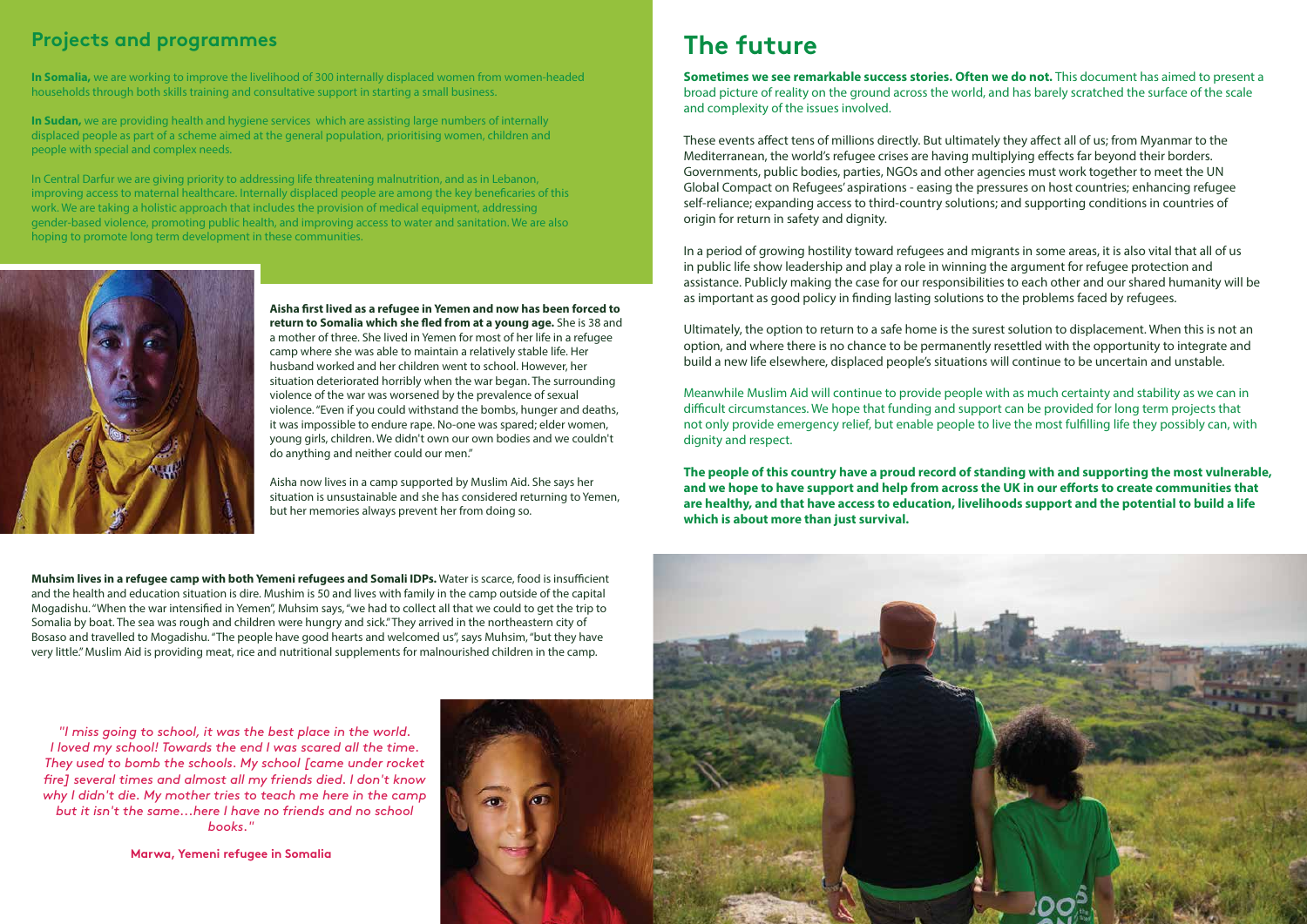**Sometimes we see remarkable success stories. Often we do not.** This document has aimed to present a broad picture of reality on the ground across the world, and has barely scratched the surface of the scale and complexity of the issues involved.

These events affect tens of millions directly. But ultimately they affect all of us; from Myanmar to the Mediterranean, the world's refugee crises are having multiplying effects far beyond their borders. Governments, public bodies, parties, NGOs and other agencies must work together to meet the UN Global Compact on Refugees' aspirations - easing the pressures on host countries; enhancing refugee self-reliance; expanding access to third-country solutions; and supporting conditions in countries of origin for return in safety and dignity.

In a period of growing hostility toward refugees and migrants in some areas, it is also vital that all of us in public life show leadership and play a role in winning the argument for refugee protection and assistance. Publicly making the case for our responsibilities to each other and our shared humanity will be as important as good policy in finding lasting solutions to the problems faced by refugees.

Ultimately, the option to return to a safe home is the surest solution to displacement. When this is not an option, and where there is no chance to be permanently resettled with the opportunity to integrate and build a new life elsewhere, displaced people's situations will continue to be uncertain and unstable.

Meanwhile Muslim Aid will continue to provide people with as much certainty and stability as we can in difficult circumstances. We hope that funding and support can be provided for long term projects that not only provide emergency relief, but enable people to live the most fullling life they possibly can, with dignity and respect.

**The people of this country have a proud record of standing with and supporting the most vulnerable,** and we hope to have support and help from across the UK in our efforts to create communities that **are healthy, and that have access to education, livelihoods support and the potential to build a life which is about more than just survival.** 



Aisha first lived as a refugee in Yemen and now has been forced to **return to Somalia which she fled from at a young age.** She is 38 and a mother of three. She lived in Yemen for most of her life in a refugee camp where she was able to maintain a relatively stable life. Her husband worked and her children went to school. However, her situation deteriorated horribly when the war began. The surrounding violence of the war was worsened by the prevalence of sexual violence. "Even if you could withstand the bombs, hunger and deaths, it was impossible to endure rape. No-one was spared; elder women, young girls, children. We didn't own our own bodies and we couldn't do anything and neither could our men."

#### **Projects and programmes**

*"I miss going to school, it was the best place in the world. I loved my school! Towards the end I was scared all the time. They used to bomb the schools. My school [came under rocket fire] several times and almost all my friends died. I don't know why I didn't die. My mother tries to teach me here in the camp but it isn't the same...here I have no friends and no school books."* 

**Muhsim lives in a refugee camp with both Yemeni refugees and Somali IDPs.** Water is scarce, food is insufficient and the health and education situation is dire. Mushim is 50 and lives with family in the camp outside of the capital Mogadishu. "When the war intensified in Yemen", Muhsim says, "we had to collect all that we could to get the trip to Somalia by boat. The sea was rough and children were hungry and sick." They arrived in the northeastern city of Bosaso and travelled to Mogadishu. "The people have good hearts and welcomed us", says Muhsim, "but they have

# **The future**

**In Somalia,** we are working to improve the livelihood of 300 internally displaced women from women-headed households through both skills training and consultative support in starting a small business.

**In Sudan,** we are providing health and hygiene services which are assisting large numbers of internally displaced people as part of a scheme aimed at the general population, prioritising women, children and people with special and complex needs.

In Central Darfur we are giving priority to addressing life threatening malnutrition, and as in Lebanon, improving access to maternal healthcare. Internally displaced people are among the key beneficaries of this work. We are taking a holistic approach that includes the provision of medical equipment, addressing gender-based violence, promoting public health, and improving access to water and sanitation. We are also hoping to promote long term development in these communities.



Marwa, 11, Yemeni refugee in Somalia **Marwa, Yemeni refugee in Somalia**

Aisha now lives in a camp supported by Muslim Aid. She says her situation is unsustainable and she has considered returning to Yemen, but her memories always prevent her from doing so.

# very little." Muslim Aid is providing meat, rice and nutritional supplements for malnourished children in the camp.